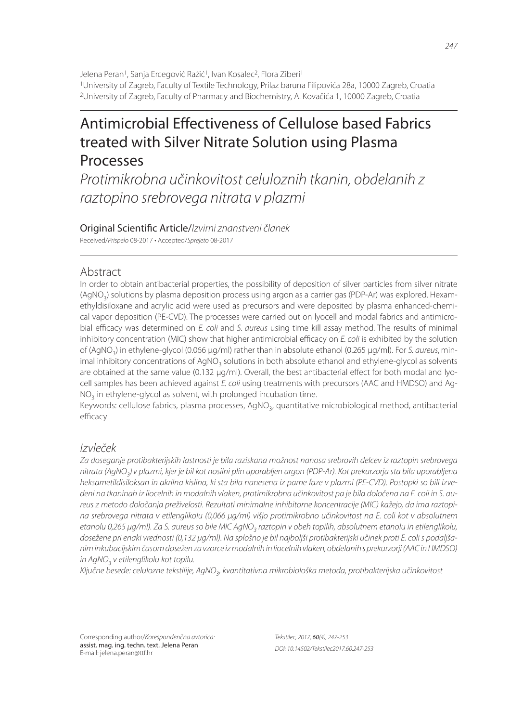# Antimicrobial Effectiveness of Cellulose based Fabrics treated with Silver Nitrate Solution using Plasma Processes

Protimikrobna učinkovitost celuloznih tkanin, obdelanih z raztopino srebrovega nitrata v plazmi

Original Scientific Article/Izvirni znanstveni članek Received/Prispelo 08-2017 • Accepted/Sprejeto 08-2017

# Abstract

In order to obtain antibacterial properties, the possibility of deposition of silver particles from silver nitrate (AgNO<sub>3</sub>) solutions by plasma deposition process using argon as a carrier gas (PDP-Ar) was explored. Hexamethyldisiloxane and acrylic acid were used as precursors and were deposited by plasma enhanced-chemical vapor deposition (PE-CVD). The processes were carried out on lyocell and modal fabrics and antimicrobial efficacy was determined on E. coli and S. aureus using time kill assay method. The results of minimal inhibitory concentration (MIC) show that higher antimicrobial efficacy on  $E$ . coli is exhibited by the solution of (AgNO<sub>3</sub>) in ethylene-glycol (0.066 µg/ml) rather than in absolute ethanol (0.265 µg/ml). For *S. aureus,* minimal inhibitory concentrations of AgNO<sub>3</sub> solutions in both absolute ethanol and ethylene-glycol as solvents are obtained at the same value (0.132 µg/ml). Overall, the best antibacterial effect for both modal and lyocell samples has been achieved against E. coli using treatments with precursors (AAC and HMDSO) and Ag- $NO<sub>3</sub>$  in ethylene-glycol as solvent, with prolonged incubation time.

Keywords: cellulose fabrics, plasma processes, AgNO<sub>3</sub>, quantitative microbiological method, antibacterial efficacy

# Izvleček

Za doseganje protibakterijskih lastnosti je bila raziskana možnost nanosa srebrovih delcev iz raztopin srebrovega nitrata (AgNO<sub>3</sub>) v plazmi, kjer je bil kot nosilni plin uporabljen argon (PDP-Ar). Kot prekurzorja sta bila uporabljena heksametildisiloksan in akrilna kislina, ki sta bila nanesena iz parne faze v plazmi (PE-CVD). Postopki so bili izvedeni na tkaninah iz liocelnih in modalnih vlaken, protimikrobna učinkovitost pa je bila določena na E. coli in S. aureus z metodo določanja preživelosti. Rezultati minimalne inhibitorne koncentracije (MIC) kažejo, da ima raztopina srebrovega nitrata v etilenglikolu (0,066 μg/ml) višjo protimikrobno učinkovitost na E. coli kot v absolutnem etanolu 0,265 μg/ml). Za S. aureus so bile MIC AgNO<sub>3</sub> raztopin v obeh topilih, absolutnem etanolu in etilenglikolu, dosežene pri enaki vrednosti (0,132 μg/ml). Na splošno je bil najboljši protibakterijski učinek proti E. coli s podaljšanim inkubacijskim časom dosežen za vzorce iz modalnih in liocelnih vlaken, obdelanih s prekurzorji (AAC in HMDSO) in AgNO $_3$  v etilenglikolu kot topilu.

Ključne besede: celulozne tekstilije, AgNO<sub>3</sub>, kvantitativna mikrobiološka metoda, protibakterijska učinkovitost

Corresponding author/Korespondenčna avtorica: assist. mag. ing. techn. text. Jelena Peran E-mail: jelena.peran@ttf.hr

Tekstilec, 2017, 60(4), 247-253 DOI: 10.14502/Tekstilec2017.60.247-253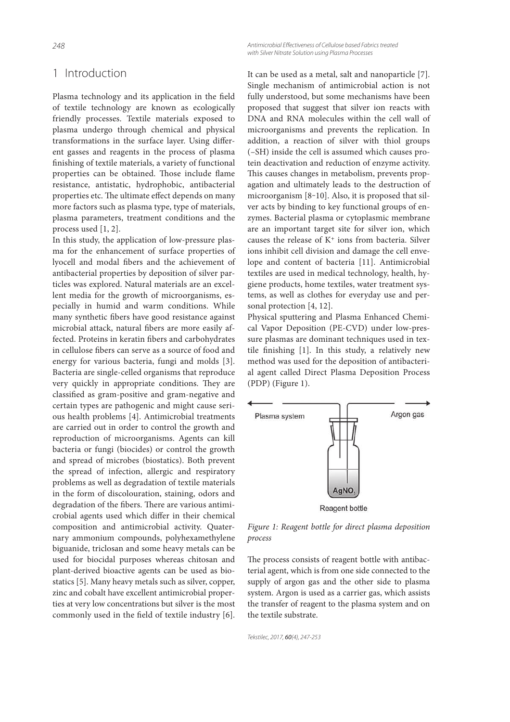#### 248

# 1 Introduction

Plasma technology and its application in the field of textile technology are known as ecologically friendly processes. Textile materials exposed to plasma undergo through chemical and physical transformations in the surface layer. Using different gasses and reagents in the process of plasma finishing of textile materials, a variety of functional properties can be obtained. Those include flame resistance, antistatic, hydrophobic, antibacterial properties etc. The ultimate effect depends on many more factors such as plasma type, type of materials, plasma parameters, treatment conditions and the process used [1, 2].

In this study, the application of low-pressure plasma for the enhancement of surface properties of lyocell and modal fibers and the achievement of antibacterial properties by deposition of silver particles was explored. Natural materials are an excellent media for the growth of microorganisms, especially in humid and warm conditions. While many synthetic fibers have good resistance against microbial attack, natural fibers are more easily affected. Proteins in keratin fibers and carbohydrates in cellulose fibers can serve as a source of food and energy for various bacteria, fungi and molds [3]. Bacteria are single-celled organisms that reproduce very quickly in appropriate conditions. They are classified as gram-positive and gram-negative and certain types are pathogenic and might cause serious health problems [4]. Antimicrobial treatments are carried out in order to control the growth and reproduction of microorganisms. Agents can kill bacteria or fungi (biocides) or control the growth and spread of microbes (biostatics). Both prevent the spread of infection, allergic and respiratory problems as well as degradation of textile materials in the form of discolouration, staining, odors and degradation of the fibers. There are various antimicrobial agents used which differ in their chemical composition and antimicrobial activity. Quaternary ammonium compounds, polyhexamethylene biguanide, triclosan and some heavy metals can be used for biocidal purposes whereas chitosan and plant-derived bioactive agents can be used as biostatics [5]. Many heavy metals such as silver, copper, zinc and cobalt have excellent antimicrobial properties at very low concentrations but silver is the most commonly used in the field of textile industry [6]. Antimicrobial Effectiveness of Cellulose based Fabrics treated with Silver Nitrate Solution using Plasma Processes

It can be used as a metal, salt and nanoparticle [7]. Single mechanism of antimicrobial action is not fully understood, but some mechanisms have been proposed that suggest that silver ion reacts with DNA and RNA molecules within the cell wall of microorganisms and prevents the replication. In addition, a reaction of silver with thiol groups (–SH) inside the cell is assumed which causes protein deactivation and reduction of enzyme activity. This causes changes in metabolism, prevents propagation and ultimately leads to the destruction of microorganism [8-10]. Also, it is proposed that silver acts by binding to key functional groups of enzymes. Bacterial plasma or cytoplasmic membrane are an important target site for silver ion, which causes the release of K<sup>+</sup> ions from bacteria. Silver ions inhibit cell division and damage the cell envelope and content of bacteria [11]. Antimicrobial textiles are used in medical technology, health, hygiene products, home textiles, water treatment systems, as well as clothes for everyday use and personal protection [4, 12].

Physical sputtering and Plasma Enhanced Chemical Vapor Deposition (PE-CVD) under low-pressure plasmas are dominant techniques used in textile finishing [1]. In this study, a relatively new method was used for the deposition of antibacterial agent called Direct Plasma Deposition Process (PDP) (Figure 1).



Figure 1: Reagent bottle for direct plasma deposition process

The process consists of reagent bottle with antibacterial agent, which is from one side connected to the supply of argon gas and the other side to plasma system. Argon is used as a carrier gas, which assists the transfer of reagent to the plasma system and on the textile substrate.

```
Tekstilec, 2017, 60(4), 247-253
```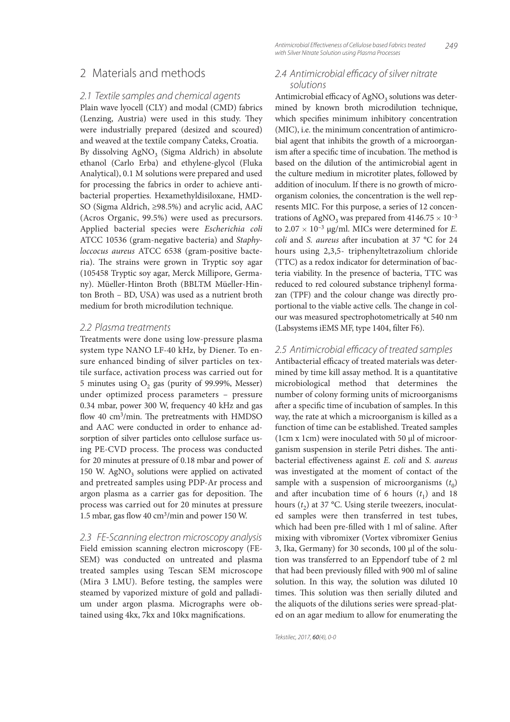## 2 Materials and methods

#### 2.1 Textile samples and chemical agents

Plain wave lyocell (CLY) and modal (CMD) fabrics (Lenzing, Austria) were used in this study. They were industrially prepared (desized and scoured) and weaved at the textile company Čateks, Croatia. By dissolving  $\mathrm{AgNO}_{3}$  (Sigma Aldrich) in absolute ethanol (Carlo Erba) and ethylene-glycol (Fluka Analytical), 0.1 M solutions were prepared and used for processing the fabrics in order to achieve antibacterial properties. Hexamethyldisiloxane, HMD-SO (Sigma Aldrich, ≥98.5%) and acrylic acid, AAC (Acros Organic, 99.5%) were used as precursors. Applied bacterial species were Escherichia coli ATCC 10536 (gram-negative bacteria) and Staphyloccocus aureus ATCC 6538 (gram-positive bacteria). The strains were grown in Tryptic soy agar (105458 Tryptic soy agar, Merck Millipore, Germany). Müeller-Hinton Broth (BBLTM Müeller-Hinton Broth – BD, USA) was used as a nutrient broth medium for broth microdilution technique.

## 2.2 Plasma treatments

Treatments were done using low-pressure plasma system type NANO LF-40 kHz, by Diener. To ensure enhanced binding of silver particles on textile surface, activation process was carried out for 5 minutes using  $O_2$  gas (purity of 99.99%, Messer) under optimized process parameters – pressure 0.34 mbar, power 300 W, frequency 40 kHz and gas flow 40 cm<sup>3</sup>/min. The pretreatments with HMDSO and AAC were conducted in order to enhance adsorption of silver particles onto cellulose surface using PE-CVD process. The process was conducted for 20 minutes at pressure of 0.18 mbar and power of 150 W.  $AgNO<sub>3</sub>$  solutions were applied on activated and pretreated samples using PDP-Ar process and argon plasma as a carrier gas for deposition. The process was carried out for 20 minutes at pressure 1.5 mbar, gas flow 40 cm<sup>3</sup>/min and power 150 W.

## 2.3 FE-Scanning electron microscopy analysis

Field emission scanning electron microscopy (FE-SEM) was conducted on untreated and plasma treated samples using Tescan SEM microscope (Mira 3 LMU). Before testing, the samples were steamed by vaporized mixture of gold and palladium under argon plasma. Micrographs were obtained using 4kx, 7kx and 10kx magnifications.

249 Antimicrobial Effectiveness of Cellulose based Fabrics treated with Silver Nitrate Solution using Plasma Processes

## 2.4 Antimicrobial efficacy of silver nitrate solutions

Antimicrobial efficacy of  $\mathrm{AgNO}_{3}$  solutions was determined by known broth microdilution technique, which specifies minimum inhibitory concentration (MIC), i.e. the minimum concentration of antimicrobial agent that inhibits the growth of a microorganism after a specific time of incubation. The method is based on the dilution of the antimicrobial agent in the culture medium in microtiter plates, followed by addition of inoculum. If there is no growth of microorganism colonies, the concentration is the well represents MIC. For this purpose, a series of 12 concentrations of AgNO<sub>3</sub> was prepared from  $4146.75 \times 10^{-3}$ to  $2.07 \times 10^{-3}$  µg/ml. MICs were determined for *E*. coli and S. aureus after incubation at 37  $^{\circ}$ C for 24 hours using 2,3,5- triphenyltetrazolium chloride (TTC) as a redox indicator for determination of bacteria viability. In the presence of bacteria, TTC was reduced to red coloured substance triphenyl formazan (TPF) and the colour change was directly proportional to the viable active cells. The change in colour was measured spectrophotometrically at 540 nm (Labsystems iEMS MF, type 1404, filter F6).

## 2.5 Antimicrobial efficacy of treated samples

Antibacterial efficacy of treated materials was determined by time kill assay method. It is a quantitative microbiological method that determines the number of colony forming units of microorganisms after a specific time of incubation of samples. In this way, the rate at which a microorganism is killed as a function of time can be established. Treated samples (1cm x 1cm) were inoculated with 50 µl of microorganism suspension in sterile Petri dishes. The antibacterial effectiveness against E. coli and S. aureus was investigated at the moment of contact of the sample with a suspension of microorganisms  $(t_0)$ and after incubation time of 6 hours  $(t_1)$  and 18 hours  $(t_2)$  at 37 °C. Using sterile tweezers, inoculated samples were then transferred in test tubes, which had been pre-filled with 1 ml of saline. After mixing with vibromixer (Vortex vibromixer Genius 3, Ika, Germany) for 30 seconds, 100 µl of the solution was transferred to an Eppendorf tube of 2 ml that had been previously filled with 900 ml of saline solution. In this way, the solution was diluted 10 times. This solution was then serially diluted and the aliquots of the dilutions series were spread-plated on an agar medium to allow for enumerating the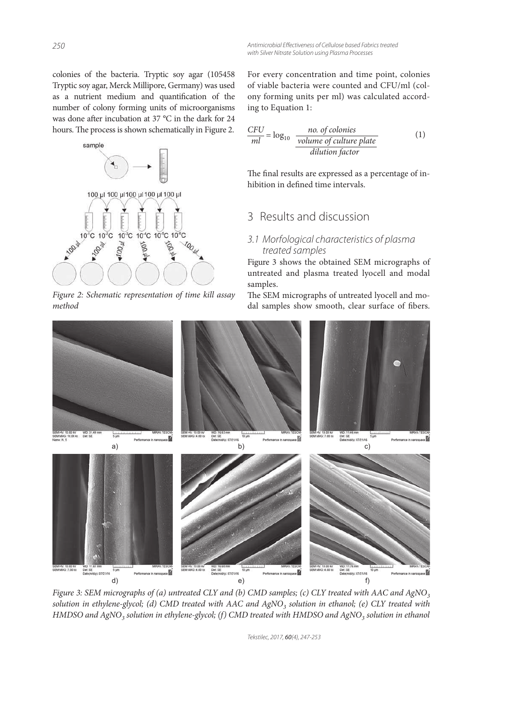colonies of the bacteria. Tryptic soy agar (105458 Tryptic soy agar, Merck Millipore, Germany) was used as a nutrient medium and quantification of the number of colony forming units of microorganisms was done after incubation at 37 °C in the dark for 24 hours. The process is shown schematically in Figure 2.



Figure 2: Schematic representation of time kill assay method

For every concentration and time point, colonies of viable bacteria were counted and CFU/ml (colony forming units per ml) was calculated according to Equation 1:

$$
\frac{CFU}{ml} = \log_{10} \frac{no. of colonies}{volume of culture plate}
$$
 (1)  
dilution factor

The final results are expressed as a percentage of inhibition in defined time intervals.

# 3 Results and discussion

## 3.1 Morfological characteristics of plasma treated samples

Figure 3 shows the obtained SEM micrographs of untreated and plasma treated lyocell and modal samples.

The SEM micrographs of untreated lyocell and modal samples show smooth, clear surface of fibers.



Figure 3: SEM micrographs of (a) untreated CLY and (b) CMD samples; (c) CLY treated with AAC and AgNO<sub>3</sub> solution in ethylene-glycol; (d) CMD treated with AAC and AgNO<sub>3</sub> solution in ethanol; (e) CLY treated with HMDSO and AgNO<sub>3</sub> solution in ethylene-glycol; (f) CMD treated with HMDSO and AgNO<sub>3</sub> solution in ethanol

Tekstilec, 2017, 60(4), 247-253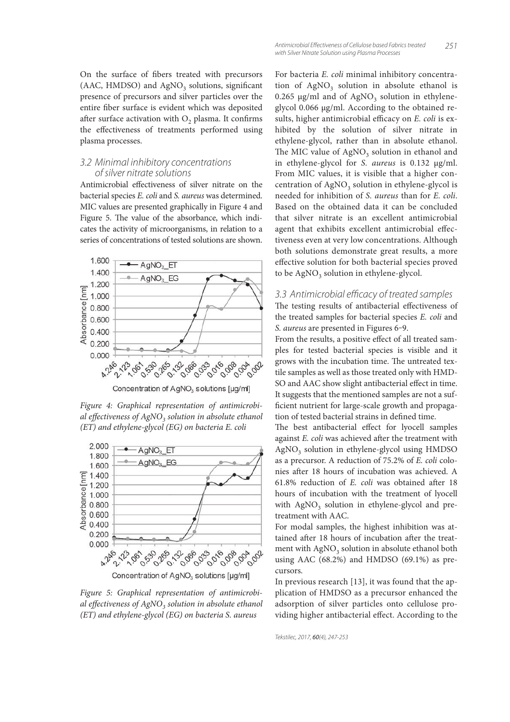On the surface of fibers treated with precursors (AAC, HMDSO) and  $AgNO<sub>3</sub>$  solutions, significant presence of precursors and silver particles over the entire fiber surface is evident which was deposited after surface activation with  $O_2$  plasma. It confirms the effectiveness of treatments performed using plasma processes.

## 3.2 Minimal inhibitory concentrations of silver nitrate solutions

Antimicrobial effectiveness of silver nitrate on the bacterial species E. coli and S. aureus was determined. MIC values are presented graphically in Figure 4 and Figure 5. The value of the absorbance, which indicates the activity of microorganisms, in relation to a series of concentrations of tested solutions are shown.



Concentration of AgNO<sub>3</sub> solutions [µg/m]

Figure 4: Graphical representation of antimicrobial effectiveness of AgNO<sub>3</sub> solution in absolute ethanol (ET) and ethylene-glycol (EG) on bacteria E. coli



Figure 5: Graphical representation of antimicrobial effectiveness of AgNO<sub>3</sub> solution in absolute ethanol (ET) and ethylene-glycol (EG) on bacteria S. aureus

For bacteria E. coli minimal inhibitory concentration of  $AgNO<sub>3</sub>$  solution in absolute ethanol is 0.265  $\mu$ g/ml and of AgNO<sub>3</sub> solution in ethyleneglycol 0.066 µg/ml. According to the obtained results, higher antimicrobial efficacy on  $E$ . coli is exhibited by the solution of silver nitrate in ethylene-glycol, rather than in absolute ethanol. The MIC value of  $\mathrm{AgNO}_{3}$  solution in ethanol and in ethylene-glycol for S. aureus is 0.132 µg/ml. From MIC values, it is visible that a higher concentration of  $\mathrm{AgNO}_{3}$  solution in ethylene-glycol is needed for inhibition of S. aureus than for E. coli. Based on the obtained data it can be concluded that silver nitrate is an excellent antimicrobial agent that exhibits excellent antimicrobial effectiveness even at very low concentrations. Although both solutions demonstrate great results, a more effective solution for both bacterial species proved to be  $\text{AgNO}_3$  solution in ethylene-glycol.

## 3.3 Antimicrobial efficacy of treated samples

The testing results of antibacterial effectiveness of the treated samples for bacterial species E. coli and S. *aureus* are presented in Figures 6-9.

From the results, a positive effect of all treated samples for tested bacterial species is visible and it grows with the incubation time. The untreated textile samples as well as those treated only with HMD-SO and AAC show slight antibacterial effect in time. It suggests that the mentioned samples are not a suf ficient nutrient for large-scale growth and propagation of tested bacterial strains in defined time.

The best antibacterial effect for lyocell samples against  $E.$  coli was achieved after the treatment with AgNO<sub>3</sub> solution in ethylene-glycol using HMDSO as a precursor. A reduction of 75.2% of E. coli colonies after 18 hours of incubation was achieved. A 61.8% reduction of  $E$ . *coli* was obtained after 18 hours of incubation with the treatment of lyocell with AgNO<sub>3</sub> solution in ethylene-glycol and pretreatment with AAC.

For modal samples, the highest inhibition was attained after 18 hours of incubation after the treatment with  $\mathrm{AgNO}_{3}$  solution in absolute ethanol both using AAC (68.2%) and HMDSO (69.1%) as precursors.

In previous research [13], it was found that the application of HMDSO as a precursor enhanced the adsorption of silver particles onto cellulose providing higher antibacterial effect. According to the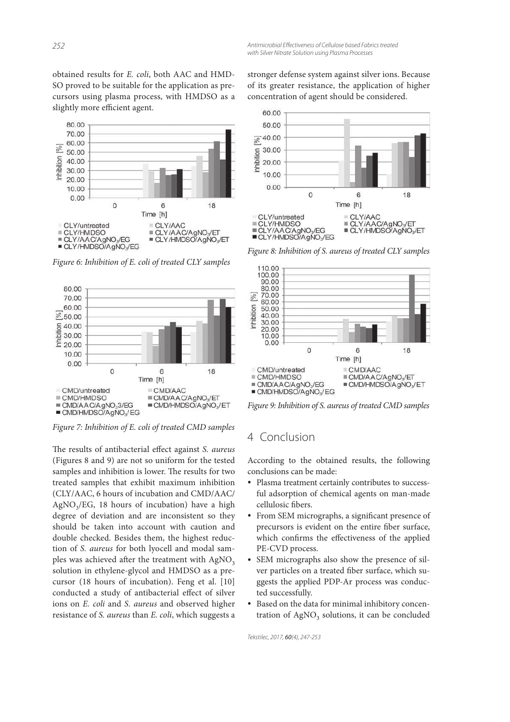obtained results for E. coli, both AAC and HMD-SO proved to be suitable for the application as precursors using plasma process, with HMDSO as a slightly more efficient agent.



Figure 6: Inhibition of E. coli of treated CLY samples



Figure 7: Inhibition of E. coli of treated CMD samples

The results of antibacterial effect against S. aureus (Figures 8 and 9) are not so uniform for the tested samples and inhibition is lower. The results for two treated samples that exhibit maximum inhibition (CLY/AAC, 6 hours of incubation and CMD/AAC/ AgNO<sup>3</sup> /EG, 18 hours of incubation) have a high degree of deviation and are inconsistent so they should be taken into account with caution and double checked. Besides them, the highest reduction of S. aureus for both lyocell and modal samples was achieved after the treatment with  $AgNO<sub>3</sub>$ solution in ethylene-glycol and HMDSO as a precursor (18 hours of incubation). Feng et al. [10] conducted a study of antibacterial effect of silver ions on E. coli and S. aureus and observed higher resistance of S. aureus than E. coli, which suggests a

stronger defense system against silver ions. Because of its greater resistance, the application of higher concentration of agent should be considered.



Figure 8: Inhibition of S. aureus of treated CLY samples



Figure 9: Inhibition of S. aureus of treated CMD samples

# 4 Conclusion

According to the obtained results, the following conclusions can be made:

- Plasma treatment certainly contributes to successful adsorption of chemical agents on man-made cellulosic fibers.
- From SEM micrographs, a significant presence of precursors is evident on the entire fiber surface, which confirms the effectiveness of the applied PE-CVD process.
- SEM micrographs also show the presence of silver particles on a treated fiber surface, which suggests the applied PDP-Ar process was conducted successfully.
- Based on the data for minimal inhibitory concentration of AgNO<sub>3</sub> solutions, it can be concluded

Tekstilec, 2017, 60(4), 247-253